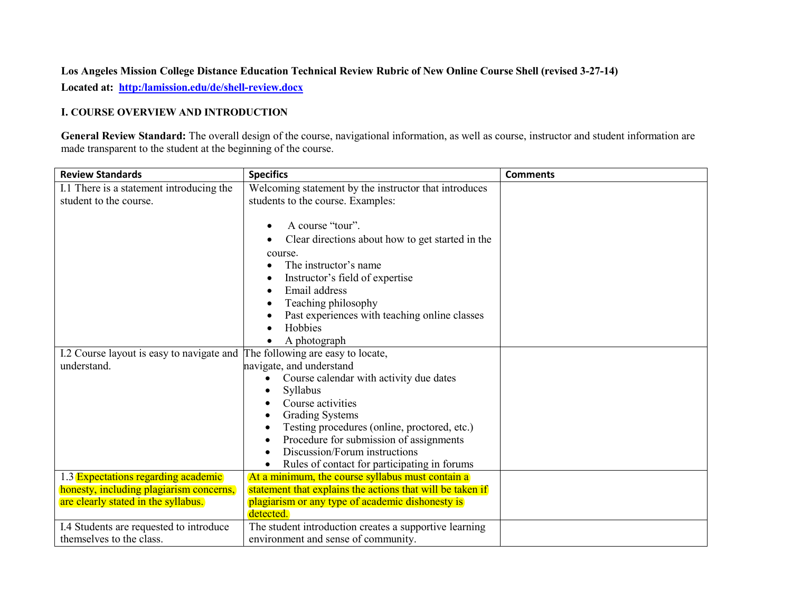# **Los Angeles Mission College Distance Education Technical Review Rubric of New Online Course Shell (revised 3-27-14) Located at: [http:/lamission.edu/de/shell-review.docx](http://lamission.edu/de/shell-review.docx)**

#### **I. COURSE OVERVIEW AND INTRODUCTION**

**General Review Standard:** The overall design of the course, navigational information, as well as course, instructor and student information are made transparent to the student at the beginning of the course.

| <b>Review Standards</b>                   | <b>Specifics</b>                                          | <b>Comments</b> |
|-------------------------------------------|-----------------------------------------------------------|-----------------|
| I.1 There is a statement introducing the  | Welcoming statement by the instructor that introduces     |                 |
| student to the course.                    | students to the course. Examples:                         |                 |
|                                           |                                                           |                 |
|                                           | A course "tour".                                          |                 |
|                                           | Clear directions about how to get started in the          |                 |
|                                           | course.                                                   |                 |
|                                           | The instructor's name                                     |                 |
|                                           | Instructor's field of expertise                           |                 |
|                                           | Email address<br>$\bullet$                                |                 |
|                                           | Teaching philosophy                                       |                 |
|                                           | Past experiences with teaching online classes             |                 |
|                                           | Hobbies                                                   |                 |
|                                           | A photograph<br>$\bullet$                                 |                 |
| I.2 Course layout is easy to navigate and | The following are easy to locate,                         |                 |
| understand.                               | navigate, and understand                                  |                 |
|                                           | Course calendar with activity due dates                   |                 |
|                                           | Syllabus                                                  |                 |
|                                           | Course activities                                         |                 |
|                                           | <b>Grading Systems</b>                                    |                 |
|                                           | Testing procedures (online, proctored, etc.)              |                 |
|                                           | Procedure for submission of assignments<br>$\bullet$      |                 |
|                                           | Discussion/Forum instructions                             |                 |
|                                           | Rules of contact for participating in forums              |                 |
| 1.3 Expectations regarding academic       | At a minimum, the course syllabus must contain a          |                 |
| honesty, including plagiarism concerns,   | statement that explains the actions that will be taken if |                 |
| are clearly stated in the syllabus.       | plagiarism or any type of academic dishonesty is          |                 |
|                                           | detected.                                                 |                 |
| I.4 Students are requested to introduce   | The student introduction creates a supportive learning    |                 |
| themselves to the class.                  | environment and sense of community.                       |                 |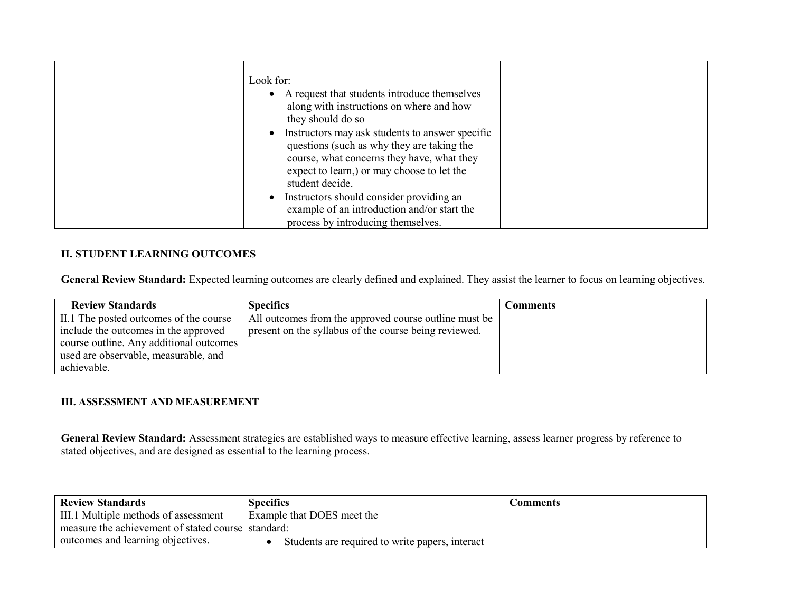| • Instructors should consider providing an<br>example of an introduction and/or start the<br>process by introducing themselves. |  | Look for:<br>• A request that students introduce themselves<br>along with instructions on where and how<br>they should do so<br>• Instructors may ask students to answer specific<br>questions (such as why they are taking the<br>course, what concerns they have, what they<br>expect to learn,) or may choose to let the<br>student decide. |  |
|---------------------------------------------------------------------------------------------------------------------------------|--|------------------------------------------------------------------------------------------------------------------------------------------------------------------------------------------------------------------------------------------------------------------------------------------------------------------------------------------------|--|
|---------------------------------------------------------------------------------------------------------------------------------|--|------------------------------------------------------------------------------------------------------------------------------------------------------------------------------------------------------------------------------------------------------------------------------------------------------------------------------------------------|--|

## **II. STUDENT LEARNING OUTCOMES**

**General Review Standard:** Expected learning outcomes are clearly defined and explained. They assist the learner to focus on learning objectives.

| <b>Review Standards</b>                 | <b>Specifics</b>                                      | <b>Comments</b> |
|-----------------------------------------|-------------------------------------------------------|-----------------|
| II.1 The posted outcomes of the course  | All outcomes from the approved course outline must be |                 |
| include the outcomes in the approved    | present on the syllabus of the course being reviewed. |                 |
| course outline. Any additional outcomes |                                                       |                 |
| used are observable, measurable, and    |                                                       |                 |
| achievable.                             |                                                       |                 |

#### **III. ASSESSMENT AND MEASUREMENT**

**General Review Standard:** Assessment strategies are established ways to measure effective learning, assess learner progress by reference to stated objectives, and are designed as essential to the learning process.

| <b>Review Standards</b>                            | <b>Specifics</b>                                | Comments |
|----------------------------------------------------|-------------------------------------------------|----------|
| III.1 Multiple methods of assessment               | Example that DOES meet the                      |          |
| measure the achievement of stated course standard: |                                                 |          |
| outcomes and learning objectives.                  | Students are required to write papers, interact |          |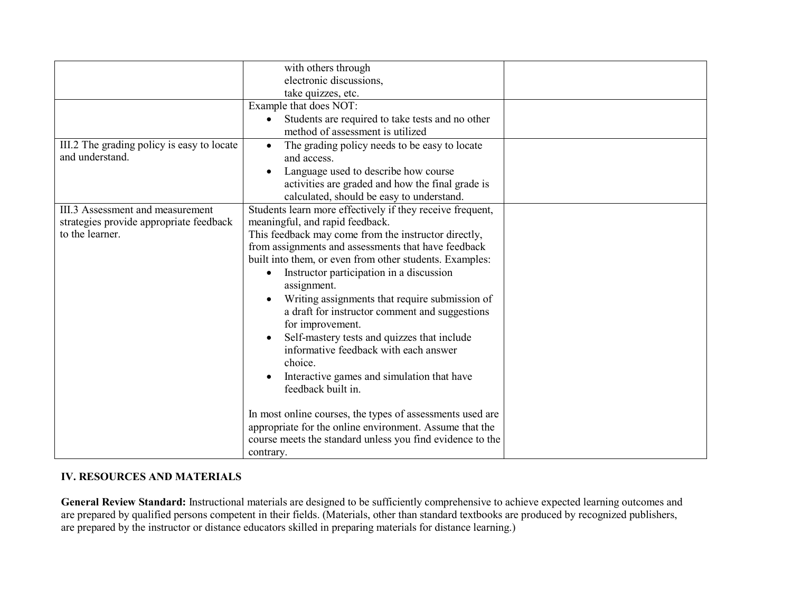|                                            | with others through                                           |  |
|--------------------------------------------|---------------------------------------------------------------|--|
|                                            | electronic discussions,                                       |  |
|                                            | take quizzes, etc.                                            |  |
|                                            | Example that does NOT:                                        |  |
|                                            | Students are required to take tests and no other<br>$\bullet$ |  |
|                                            | method of assessment is utilized                              |  |
| III.2 The grading policy is easy to locate | The grading policy needs to be easy to locate<br>$\bullet$    |  |
| and understand.                            | and access.                                                   |  |
|                                            | Language used to describe how course                          |  |
|                                            | activities are graded and how the final grade is              |  |
|                                            | calculated, should be easy to understand.                     |  |
| III.3 Assessment and measurement           | Students learn more effectively if they receive frequent,     |  |
| strategies provide appropriate feedback    | meaningful, and rapid feedback.                               |  |
| to the learner.                            | This feedback may come from the instructor directly,          |  |
|                                            | from assignments and assessments that have feedback           |  |
|                                            | built into them, or even from other students. Examples:       |  |
|                                            | Instructor participation in a discussion<br>$\bullet$         |  |
|                                            | assignment.                                                   |  |
|                                            | Writing assignments that require submission of                |  |
|                                            | a draft for instructor comment and suggestions                |  |
|                                            | for improvement.                                              |  |
|                                            | Self-mastery tests and quizzes that include<br>$\bullet$      |  |
|                                            | informative feedback with each answer                         |  |
|                                            | choice.                                                       |  |
|                                            | Interactive games and simulation that have<br>$\bullet$       |  |
|                                            | feedback built in.                                            |  |
|                                            |                                                               |  |
|                                            | In most online courses, the types of assessments used are     |  |
|                                            | appropriate for the online environment. Assume that the       |  |
|                                            | course meets the standard unless you find evidence to the     |  |
|                                            | contrary.                                                     |  |

## **IV. RESOURCES AND MATERIALS**

**General Review Standard:** Instructional materials are designed to be sufficiently comprehensive to achieve expected learning outcomes and are prepared by qualified persons competent in their fields. (Materials, other than standard textbooks are produced by recognized publishers, are prepared by the instructor or distance educators skilled in preparing materials for distance learning.)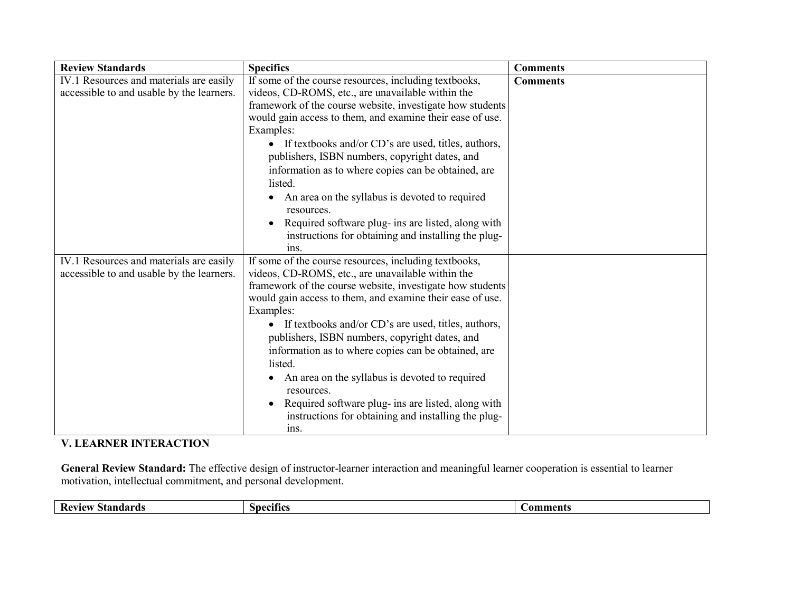| <b>Review Standards</b>                   | <b>Specifics</b>                                                | <b>Comments</b> |
|-------------------------------------------|-----------------------------------------------------------------|-----------------|
| IV.1 Resources and materials are easily   | If some of the course resources, including textbooks,           | <b>Comments</b> |
| accessible to and usable by the learners. | videos, CD-ROMS, etc., are unavailable within the               |                 |
|                                           | framework of the course website, investigate how students       |                 |
|                                           | would gain access to them, and examine their ease of use.       |                 |
|                                           | Examples:                                                       |                 |
|                                           | • If textbooks and/or CD's are used, titles, authors,           |                 |
|                                           | publishers, ISBN numbers, copyright dates, and                  |                 |
|                                           | information as to where copies can be obtained, are             |                 |
|                                           | listed.                                                         |                 |
|                                           | An area on the syllabus is devoted to required                  |                 |
|                                           | resources.                                                      |                 |
|                                           | Required software plug- ins are listed, along with<br>$\bullet$ |                 |
|                                           | instructions for obtaining and installing the plug-             |                 |
|                                           | 1 <sub>ns</sub>                                                 |                 |
| IV.1 Resources and materials are easily   | If some of the course resources, including textbooks,           |                 |
| accessible to and usable by the learners. | videos, CD-ROMS, etc., are unavailable within the               |                 |
|                                           | framework of the course website, investigate how students       |                 |
|                                           | would gain access to them, and examine their ease of use.       |                 |
|                                           | Examples:                                                       |                 |
|                                           | • If textbooks and/or CD's are used, titles, authors,           |                 |
|                                           | publishers, ISBN numbers, copyright dates, and                  |                 |
|                                           | information as to where copies can be obtained, are             |                 |
|                                           | listed.                                                         |                 |
|                                           | An area on the syllabus is devoted to required                  |                 |
|                                           | resources.                                                      |                 |
|                                           | Required software plug- ins are listed, along with              |                 |
|                                           | instructions for obtaining and installing the plug-             |                 |
|                                           | ins.                                                            |                 |

# **V. LEARNER INTERACTION**

**General Review Standard:** The effective design of instructor-learner interaction and meaningful learner cooperation is essential to learner motivation, intellectual commitment, and personal development.

| Rev<br>ndards<br>I AT<br>. v 11<br>,,,,,,,,,, | mecifics . | Λr<br>™en. |
|-----------------------------------------------|------------|------------|
|                                               |            |            |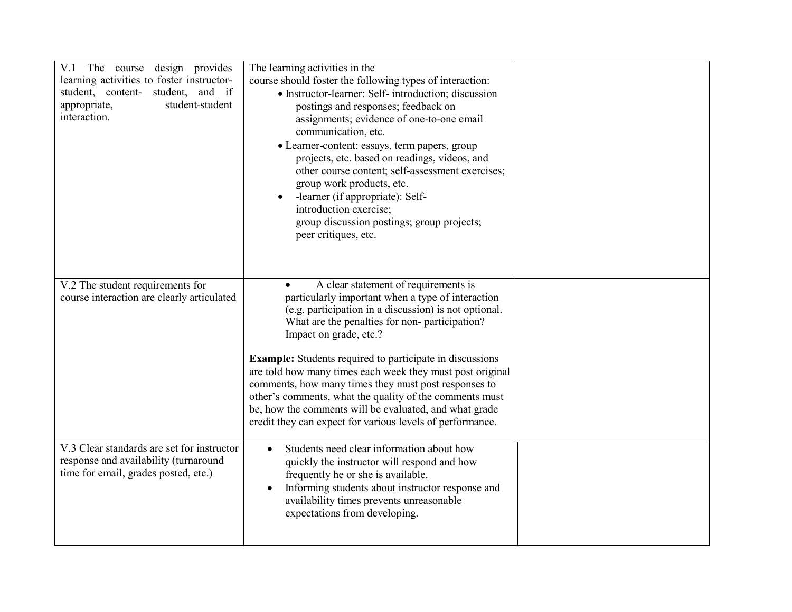| The course design provides<br>V.1<br>learning activities to foster instructor-<br>student, content- student, and if<br>student-student<br>appropriate,<br>interaction. | The learning activities in the<br>course should foster the following types of interaction:<br>• Instructor-learner: Self- introduction; discussion<br>postings and responses; feedback on<br>assignments; evidence of one-to-one email<br>communication, etc.<br>• Learner-content: essays, term papers, group<br>projects, etc. based on readings, videos, and<br>other course content; self-assessment exercises;<br>group work products, etc.<br>-learner (if appropriate): Self-<br>$\bullet$<br>introduction exercise;<br>group discussion postings; group projects;<br>peer critiques, etc.       |  |
|------------------------------------------------------------------------------------------------------------------------------------------------------------------------|---------------------------------------------------------------------------------------------------------------------------------------------------------------------------------------------------------------------------------------------------------------------------------------------------------------------------------------------------------------------------------------------------------------------------------------------------------------------------------------------------------------------------------------------------------------------------------------------------------|--|
| V.2 The student requirements for<br>course interaction are clearly articulated                                                                                         | A clear statement of requirements is<br>particularly important when a type of interaction<br>(e.g. participation in a discussion) is not optional.<br>What are the penalties for non-participation?<br>Impact on grade, etc.?<br><b>Example:</b> Students required to participate in discussions<br>are told how many times each week they must post original<br>comments, how many times they must post responses to<br>other's comments, what the quality of the comments must<br>be, how the comments will be evaluated, and what grade<br>credit they can expect for various levels of performance. |  |
| V.3 Clear standards are set for instructor<br>response and availability (turnaround<br>time for email, grades posted, etc.)                                            | Students need clear information about how<br>$\bullet$<br>quickly the instructor will respond and how<br>frequently he or she is available.<br>Informing students about instructor response and<br>$\bullet$<br>availability times prevents unreasonable<br>expectations from developing.                                                                                                                                                                                                                                                                                                               |  |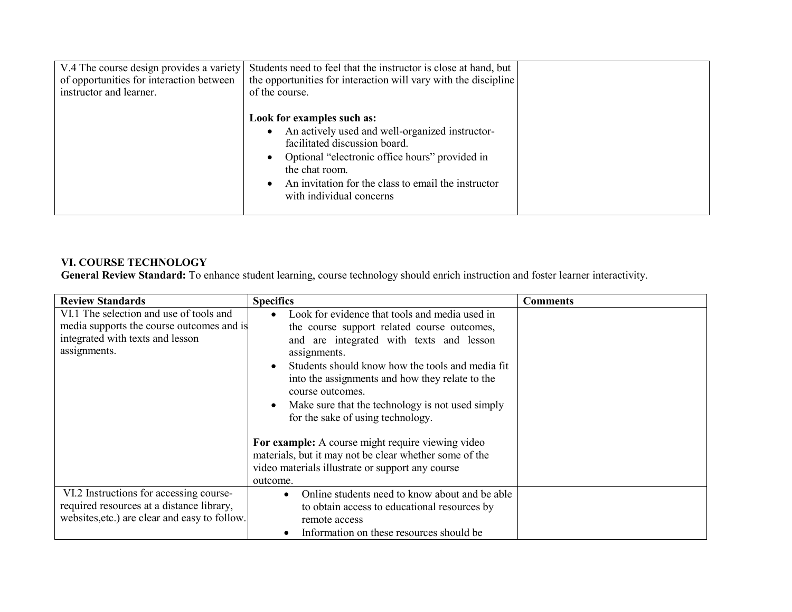| V.4 The course design provides a variety<br>of opportunities for interaction between<br>instructor and learner. | Students need to feel that the instructor is close at hand, but<br>the opportunities for interaction will vary with the discipline<br>of the course.                                                                                                                  |  |
|-----------------------------------------------------------------------------------------------------------------|-----------------------------------------------------------------------------------------------------------------------------------------------------------------------------------------------------------------------------------------------------------------------|--|
|                                                                                                                 | Look for examples such as:<br>An actively used and well-organized instructor-<br>facilitated discussion board.<br>Optional "electronic office hours" provided in<br>the chat room.<br>An invitation for the class to email the instructor<br>with individual concerns |  |

#### **VI. COURSE TECHNOLOGY**

**General Review Standard:** To enhance student learning, course technology should enrich instruction and foster learner interactivity.

| <b>Review Standards</b>                                                                                                                  | <b>Specifics</b>                                                                                                                                                                                                                                                                                                                                                              | <b>Comments</b> |
|------------------------------------------------------------------------------------------------------------------------------------------|-------------------------------------------------------------------------------------------------------------------------------------------------------------------------------------------------------------------------------------------------------------------------------------------------------------------------------------------------------------------------------|-----------------|
| VI.1 The selection and use of tools and<br>media supports the course outcomes and is<br>integrated with texts and lesson<br>assignments. | Look for evidence that tools and media used in<br>the course support related course outcomes,<br>and are integrated with texts and lesson<br>assignments.<br>Students should know how the tools and media fit<br>into the assignments and how they relate to the<br>course outcomes.<br>Make sure that the technology is not used simply<br>for the sake of using technology. |                 |
|                                                                                                                                          | For example: A course might require viewing video<br>materials, but it may not be clear whether some of the<br>video materials illustrate or support any course<br>outcome.                                                                                                                                                                                                   |                 |
| VI.2 Instructions for accessing course-<br>required resources at a distance library,<br>websites, etc.) are clear and easy to follow.    | Online students need to know about and be able<br>$\bullet$<br>to obtain access to educational resources by<br>remote access<br>Information on these resources should be<br>$\bullet$                                                                                                                                                                                         |                 |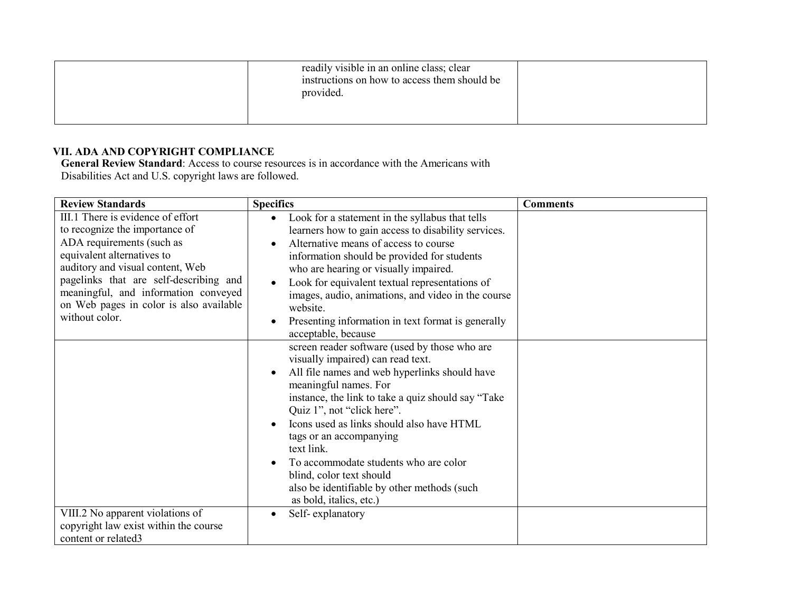| readily visible in an online class; clear<br>instructions on how to access them should be<br>provided. |  |
|--------------------------------------------------------------------------------------------------------|--|
|                                                                                                        |  |

# **VII. ADA AND COPYRIGHT COMPLIANCE**

**General Review Standard**: Access to course resources is in accordance with the Americans with Disabilities Act and U.S. copyright laws are followed.

| <b>Review Standards</b>                                                                                                                                                                                                                                                                                           | <b>Specifics</b>                                                                                                                                                                                                                                                                                                                                                                                                                                                                       | <b>Comments</b> |
|-------------------------------------------------------------------------------------------------------------------------------------------------------------------------------------------------------------------------------------------------------------------------------------------------------------------|----------------------------------------------------------------------------------------------------------------------------------------------------------------------------------------------------------------------------------------------------------------------------------------------------------------------------------------------------------------------------------------------------------------------------------------------------------------------------------------|-----------------|
| III.1 There is evidence of effort<br>to recognize the importance of<br>ADA requirements (such as<br>equivalent alternatives to<br>auditory and visual content, Web<br>pagelinks that are self-describing and<br>meaningful, and information conveyed<br>on Web pages in color is also available<br>without color. | Look for a statement in the syllabus that tells<br>$\bullet$<br>learners how to gain access to disability services.<br>Alternative means of access to course<br>information should be provided for students<br>who are hearing or visually impaired.<br>Look for equivalent textual representations of<br>images, audio, animations, and video in the course<br>website.<br>Presenting information in text format is generally<br>acceptable, because                                  |                 |
|                                                                                                                                                                                                                                                                                                                   | screen reader software (used by those who are<br>visually impaired) can read text.<br>All file names and web hyperlinks should have<br>meaningful names. For<br>instance, the link to take a quiz should say "Take"<br>Quiz 1", not "click here".<br>Icons used as links should also have HTML<br>tags or an accompanying<br>text link.<br>To accommodate students who are color<br>blind, color text should<br>also be identifiable by other methods (such<br>as bold, italics, etc.) |                 |
| VIII.2 No apparent violations of<br>copyright law exist within the course<br>content or related3                                                                                                                                                                                                                  | Self-explanatory                                                                                                                                                                                                                                                                                                                                                                                                                                                                       |                 |